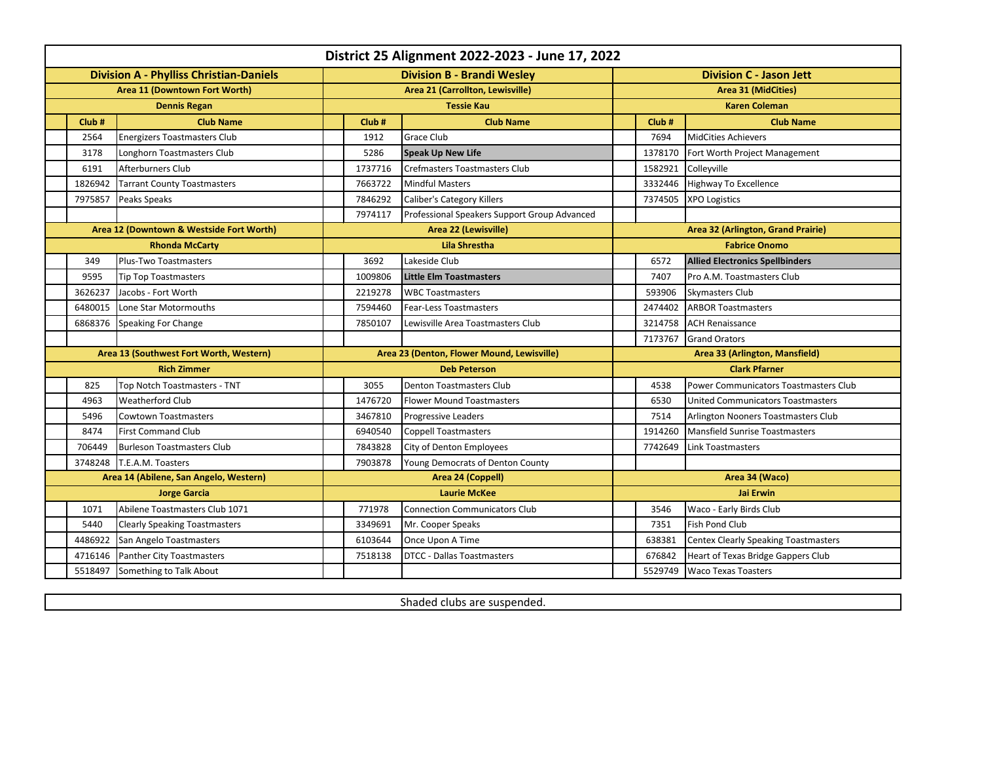| District 25 Alignment 2022-2023 - June 17, 2022 |                                          |                                   |                                              |                            |                                             |  |  |  |  |
|-------------------------------------------------|------------------------------------------|-----------------------------------|----------------------------------------------|----------------------------|---------------------------------------------|--|--|--|--|
| <b>Division A - Phylliss Christian-Daniels</b>  |                                          | <b>Division B - Brandi Weslev</b> |                                              |                            | <b>Division C - Jason Jett</b>              |  |  |  |  |
| Area 11 (Downtown Fort Worth)                   |                                          | Area 21 (Carrollton, Lewisville)  |                                              | <b>Area 31 (MidCities)</b> |                                             |  |  |  |  |
| <b>Dennis Regan</b>                             |                                          | <b>Tessie Kau</b>                 |                                              | <b>Karen Coleman</b>       |                                             |  |  |  |  |
| Club#                                           | <b>Club Name</b>                         | Club#                             | <b>Club Name</b>                             | Club#                      | <b>Club Name</b>                            |  |  |  |  |
| 2564                                            | <b>Energizers Toastmasters Club</b>      | 1912                              | Grace Club                                   | 7694                       | <b>MidCities Achievers</b>                  |  |  |  |  |
| 3178                                            | Longhorn Toastmasters Club               | 5286                              | <b>Speak Up New Life</b>                     | 1378170                    | Fort Worth Project Management               |  |  |  |  |
| 6191                                            | Afterburners Club                        | 1737716                           | <b>Crefmasters Toastmasters Club</b>         | 1582921                    | Colleyville                                 |  |  |  |  |
| 1826942                                         | <b>Tarrant County Toastmasters</b>       | 7663722                           | <b>Mindful Masters</b>                       | 3332446                    | <b>Highway To Excellence</b>                |  |  |  |  |
| 7975857                                         | Peaks Speaks                             | 7846292                           | Caliber's Category Killers                   | 7374505                    | <b>XPO Logistics</b>                        |  |  |  |  |
|                                                 |                                          | 7974117                           | Professional Speakers Support Group Advanced |                            |                                             |  |  |  |  |
|                                                 | Area 12 (Downtown & Westside Fort Worth) |                                   | Area 22 (Lewisville)                         |                            | Area 32 (Arlington, Grand Prairie)          |  |  |  |  |
| <b>Rhonda McCarty</b>                           |                                          | <b>Lila Shrestha</b>              |                                              | <b>Fabrice Onomo</b>       |                                             |  |  |  |  |
| 349                                             | Plus-Two Toastmasters                    | 3692                              | Lakeside Club                                | 6572                       | <b>Allied Electronics Spellbinders</b>      |  |  |  |  |
| 9595                                            | <b>Tip Top Toastmasters</b>              | 1009806                           | Little Elm Toastmasters                      | 7407                       | Pro A.M. Toastmasters Club                  |  |  |  |  |
| 3626237                                         | Jacobs - Fort Worth                      | 2219278                           | <b>WBC Toastmasters</b>                      | 593906                     | <b>Skymasters Club</b>                      |  |  |  |  |
| 6480015                                         | Lone Star Motormouths                    | 7594460                           | <b>Fear-Less Toastmasters</b>                | 2474402                    | <b>ARBOR Toastmasters</b>                   |  |  |  |  |
| 6868376                                         | Speaking For Change                      | 7850107                           | Lewisville Area Toastmasters Club            |                            | 3214758 ACH Renaissance                     |  |  |  |  |
|                                                 |                                          |                                   |                                              | 7173767                    | <b>Grand Orators</b>                        |  |  |  |  |
|                                                 | Area 13 (Southwest Fort Worth, Western)  |                                   | Area 23 (Denton, Flower Mound, Lewisville)   |                            | Area 33 (Arlington, Mansfield)              |  |  |  |  |
| <b>Rich Zimmer</b>                              |                                          | <b>Deb Peterson</b>               |                                              | <b>Clark Pfarner</b>       |                                             |  |  |  |  |
| 825                                             | Top Notch Toastmasters - TNT             | 3055                              | <b>Denton Toastmasters Club</b>              | 4538                       | Power Communicators Toastmasters Club       |  |  |  |  |
| 4963                                            | <b>Weatherford Club</b>                  | 1476720                           | Flower Mound Toastmasters                    | 6530                       | United Communicators Toastmasters           |  |  |  |  |
| 5496                                            | <b>Cowtown Toastmasters</b>              | 3467810                           | Progressive Leaders                          | 7514                       | Arlington Nooners Toastmasters Club         |  |  |  |  |
| 8474                                            | <b>First Command Club</b>                | 6940540                           | <b>Coppell Toastmasters</b>                  | 1914260                    | Mansfield Sunrise Toastmasters              |  |  |  |  |
| 706449                                          | <b>Burleson Toastmasters Club</b>        | 7843828                           | <b>City of Denton Employees</b>              | 7742649                    | <b>Link Toastmasters</b>                    |  |  |  |  |
| 3748248                                         | T.E.A.M. Toasters                        | 7903878                           | Young Democrats of Denton County             |                            |                                             |  |  |  |  |
| Area 14 (Abilene, San Angelo, Western)          |                                          | Area 24 (Coppell)                 |                                              | Area 34 (Waco)             |                                             |  |  |  |  |
| <b>Jorge Garcia</b>                             |                                          | <b>Laurie McKee</b>               |                                              | Jai Erwin                  |                                             |  |  |  |  |
| 1071                                            | Abilene Toastmasters Club 1071           | 771978                            | <b>Connection Communicators Club</b>         | 3546                       | Waco - Early Birds Club                     |  |  |  |  |
| 5440                                            | <b>Clearly Speaking Toastmasters</b>     | 3349691                           | Mr. Cooper Speaks                            | 7351                       | <b>Fish Pond Club</b>                       |  |  |  |  |
| 4486922                                         | San Angelo Toastmasters                  | 6103644                           | Once Upon A Time                             | 638381                     | <b>Centex Clearly Speaking Toastmasters</b> |  |  |  |  |
| 4716146                                         | Panther City Toastmasters                | 7518138                           | <b>DTCC - Dallas Toastmasters</b>            | 676842                     | Heart of Texas Bridge Gappers Club          |  |  |  |  |
| 5518497                                         | Something to Talk About                  |                                   |                                              | 5529749                    | <b>Waco Texas Toasters</b>                  |  |  |  |  |

Shaded clubs are suspended.